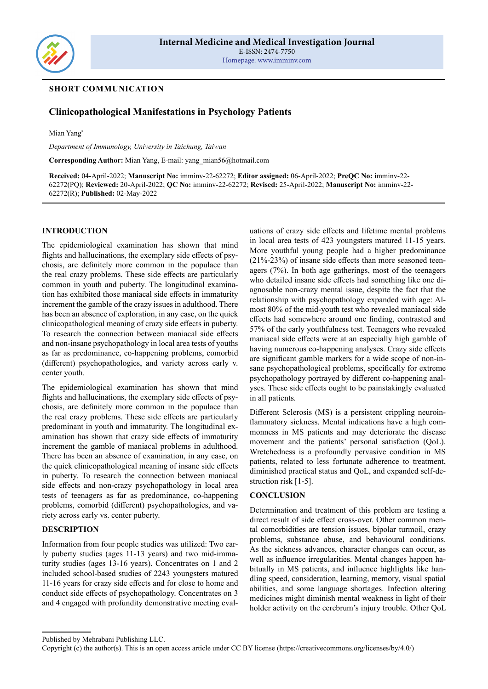

## **SHORT COMMUNICATION**

# **Clinicopathological Manifestations in Psychology Patients**

Mian Yang\*

*Department of Immunology, University in Taichung, Taiwan*

**Corresponding Author:** Mian Yang, E-mail: yang\_mian56@hotmail.com

**Received:** 04-April-2022; **Manuscript No:** imminv-22-62272; **Editor assigned:** 06-April-2022; **PreQC No:** imminv-22- 62272(PQ); **Reviewed:** 20-April-2022; **QC No:** imminv-22-62272; **Revised:** 25-April-2022; **Manuscript No:** imminv-22- 62272(R); **Published:** 02-May-2022

#### **INTRODUCTION**

The epidemiological examination has shown that mind flights and hallucinations, the exemplary side effects of psychosis, are definitely more common in the populace than the real crazy problems. These side effects are particularly common in youth and puberty. The longitudinal examination has exhibited those maniacal side effects in immaturity increment the gamble of the crazy issues in adulthood. There has been an absence of exploration, in any case, on the quick clinicopathological meaning of crazy side effects in puberty. To research the connection between maniacal side effects and non-insane psychopathology in local area tests of youths as far as predominance, co-happening problems, comorbid (different) psychopathologies, and variety across early v. center youth.

The epidemiological examination has shown that mind flights and hallucinations, the exemplary side effects of psychosis, are definitely more common in the populace than the real crazy problems. These side effects are particularly predominant in youth and immaturity. The longitudinal examination has shown that crazy side effects of immaturity increment the gamble of maniacal problems in adulthood. There has been an absence of examination, in any case, on the quick clinicopathological meaning of insane side effects in puberty. To research the connection between maniacal side effects and non-crazy psychopathology in local area tests of teenagers as far as predominance, co-happening problems, comorbid (different) psychopathologies, and variety across early vs. center puberty.

#### **DESCRIPTION**

Information from four people studies was utilized: Two early puberty studies (ages 11-13 years) and two mid-immaturity studies (ages 13-16 years). Concentrates on 1 and 2 included school-based studies of 2243 youngsters matured 11-16 years for crazy side effects and for close to home and conduct side effects of psychopathology. Concentrates on 3 and 4 engaged with profundity demonstrative meeting evaluations of crazy side effects and lifetime mental problems in local area tests of 423 youngsters matured 11-15 years. More youthful young people had a higher predominance (21%-23%) of insane side effects than more seasoned teenagers (7%). In both age gatherings, most of the teenagers who detailed insane side effects had something like one diagnosable non-crazy mental issue, despite the fact that the relationship with psychopathology expanded with age: Almost 80% of the mid-youth test who revealed maniacal side effects had somewhere around one finding, contrasted and 57% of the early youthfulness test. Teenagers who revealed maniacal side effects were at an especially high gamble of having numerous co-happening analyses. Crazy side effects are significant gamble markers for a wide scope of non-insane psychopathological problems, specifically for extreme psychopathology portrayed by different co-happening analyses. These side effects ought to be painstakingly evaluated in all patients.

Different Sclerosis (MS) is a persistent crippling neuroinflammatory sickness. Mental indications have a high commonness in MS patients and may deteriorate the disease movement and the patients' personal satisfaction (QoL). Wretchedness is a profoundly pervasive condition in MS patients, related to less fortunate adherence to treatment, diminished practical status and QoL, and expanded self-destruction risk [1-5].

#### **CONCLUSION**

Determination and treatment of this problem are testing a direct result of side effect cross-over. Other common mental comorbidities are tension issues, bipolar turmoil, crazy problems, substance abuse, and behavioural conditions. As the sickness advances, character changes can occur, as well as influence irregularities. Mental changes happen habitually in MS patients, and influence highlights like handling speed, consideration, learning, memory, visual spatial abilities, and some language shortages. Infection altering medicines might diminish mental weakness in light of their holder activity on the cerebrum's injury trouble. Other QoL

Published by Mehrabani Publishing LLC.

Copyright (c) the author(s). This is an open access article under CC BY license (https://creativecommons.org/licenses/by/4.0/)